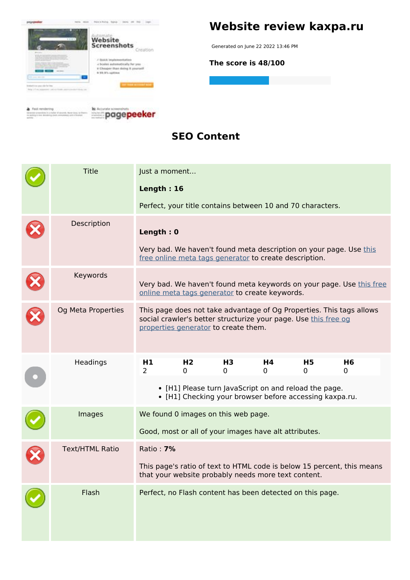

#### **SEO Content**

| <b>Title</b>           | Just a moment                                                                                                                                                                   |                                                                                                                  |                |                                                        |                                                                        |         |  |
|------------------------|---------------------------------------------------------------------------------------------------------------------------------------------------------------------------------|------------------------------------------------------------------------------------------------------------------|----------------|--------------------------------------------------------|------------------------------------------------------------------------|---------|--|
|                        | Length: 16                                                                                                                                                                      |                                                                                                                  |                |                                                        |                                                                        |         |  |
|                        |                                                                                                                                                                                 |                                                                                                                  |                |                                                        | Perfect, your title contains between 10 and 70 characters.             |         |  |
| Description            | Length: 0                                                                                                                                                                       |                                                                                                                  |                |                                                        |                                                                        |         |  |
|                        |                                                                                                                                                                                 |                                                                                                                  |                | free online meta tags generator to create description. | Very bad. We haven't found meta description on your page. Use this     |         |  |
| Keywords               | Very bad. We haven't found meta keywords on your page. Use this free<br>online meta tags generator to create keywords.                                                          |                                                                                                                  |                |                                                        |                                                                        |         |  |
| Og Meta Properties     | This page does not take advantage of Og Properties. This tags allows<br>social crawler's better structurize your page. Use this free og<br>properties generator to create them. |                                                                                                                  |                |                                                        |                                                                        |         |  |
| Headings               | H <sub>1</sub><br>$\overline{2}$                                                                                                                                                | H <sub>2</sub><br>0                                                                                              | H3<br>$\Omega$ | H4<br>0                                                | H5<br>0                                                                | H6<br>0 |  |
|                        | • [H1] Please turn JavaScript on and reload the page.<br>• [H1] Checking your browser before accessing kaxpa.ru.                                                                |                                                                                                                  |                |                                                        |                                                                        |         |  |
| Images                 |                                                                                                                                                                                 | We found 0 images on this web page.                                                                              |                |                                                        |                                                                        |         |  |
|                        | Good, most or all of your images have alt attributes.                                                                                                                           |                                                                                                                  |                |                                                        |                                                                        |         |  |
| <b>Text/HTML Ratio</b> | Ratio: <b>7%</b>                                                                                                                                                                |                                                                                                                  |                |                                                        |                                                                        |         |  |
|                        |                                                                                                                                                                                 |                                                                                                                  |                |                                                        | This page's ratio of text to HTML code is below 15 percent, this means |         |  |
| Flash                  |                                                                                                                                                                                 | that your website probably needs more text content.<br>Perfect, no Flash content has been detected on this page. |                |                                                        |                                                                        |         |  |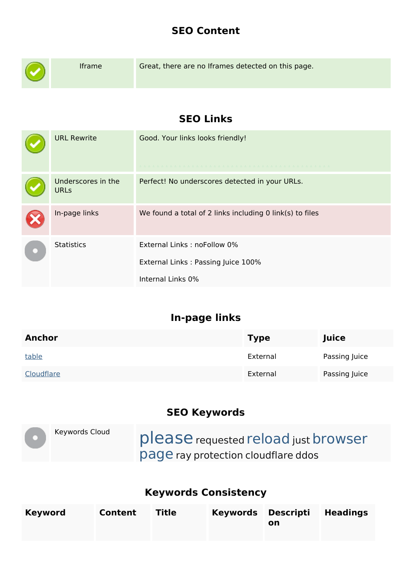#### **SEO Content**

| Iframe                            | Great, there are no Iframes detected on this page.                                     |
|-----------------------------------|----------------------------------------------------------------------------------------|
|                                   | <b>SEO Links</b>                                                                       |
| <b>URL Rewrite</b>                | Good. Your links looks friendly!                                                       |
| Underscores in the<br><b>URLs</b> | Perfect! No underscores detected in your URLs.                                         |
| In-page links                     | We found a total of 2 links including 0 link(s) to files                               |
| <b>Statistics</b>                 | External Links: noFollow 0%<br>External Links: Passing Juice 100%<br>Internal Links 0% |

# **In-page links**

| <b>Anchor</b> | <b>Type</b> | Juice         |
|---------------|-------------|---------------|
| table         | External    | Passing Juice |
| Cloudflare    | External    | Passing Juice |

### **SEO Keywords**

|  | Keywords Cloud | please requested reload just browser       |
|--|----------------|--------------------------------------------|
|  |                | <b>page</b> ray protection cloudflare ddos |

## **Keywords Consistency**

| <b>Keyword</b> | Content | <b>Title</b> | Keywords Descripti Headings<br>on |  |
|----------------|---------|--------------|-----------------------------------|--|
|                |         |              |                                   |  |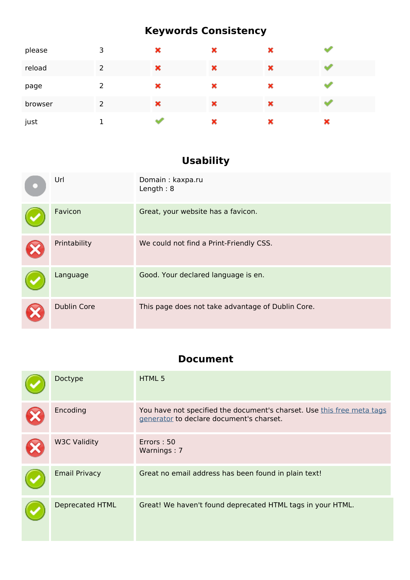# **Keywords Consistency**

| please  | 3 | × | × | × |   |
|---------|---|---|---|---|---|
| reload  | 2 | × | × | × |   |
| page    | 2 | × | × | × |   |
| browser | 2 | × | × | × |   |
| just    |   |   | × | × | × |

# **Usability**

| Url                | Domain: kaxpa.ru<br>Length: $8$                   |
|--------------------|---------------------------------------------------|
| Favicon            | Great, your website has a favicon.                |
| Printability       | We could not find a Print-Friendly CSS.           |
| Language           | Good. Your declared language is en.               |
| <b>Dublin Core</b> | This page does not take advantage of Dublin Core. |

### **Document**

| Doctype                | HTML 5                                                                                                             |
|------------------------|--------------------------------------------------------------------------------------------------------------------|
| Encoding               | You have not specified the document's charset. Use this free meta tags<br>generator to declare document's charset. |
| <b>W3C Validity</b>    | Errors: 50<br>Warnings: 7                                                                                          |
| <b>Email Privacy</b>   | Great no email address has been found in plain text!                                                               |
| <b>Deprecated HTML</b> | Great! We haven't found deprecated HTML tags in your HTML.                                                         |